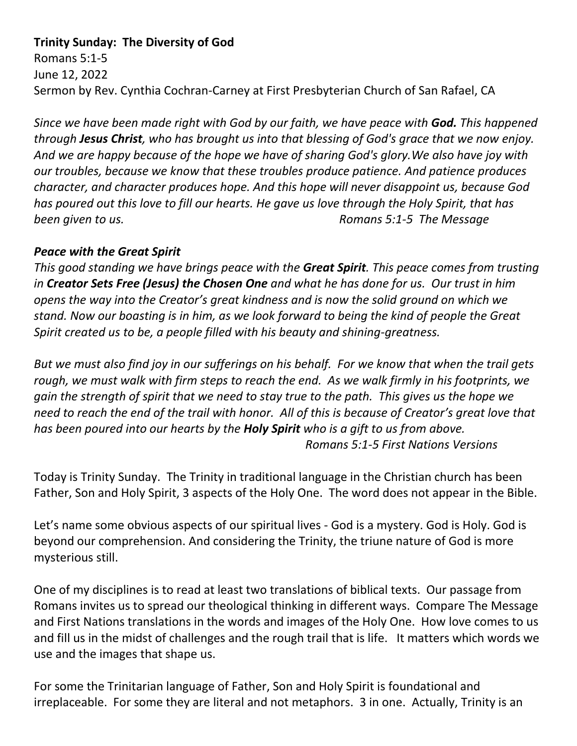## **Trinity Sunday: The Diversity of God**

Romans 5:1-5 June 12, 2022 Sermon by Rev. Cynthia Cochran-Carney at First Presbyterian Church of San Rafael, CA

*Since we have been made right with God by our faith, we have peace with God. This happened through Jesus Christ, who has brought us into that blessing of God's grace that we now enjoy. And we are happy because of the hope we have of sharing God's glory.We also have joy with our troubles, because we know that these troubles produce patience. And patience produces character, and character produces hope. And this hope will never disappoint us, because God has poured out this love to fill our hearts. He gave us love through the Holy Spirit, that has been given to us. Romans 5:1-5 The Message*

## *Peace with the Great Spirit*

*This good standing we have brings peace with the Great Spirit. This peace comes from trusting in Creator Sets Free (Jesus) the Chosen One and what he has done for us. Our trust in him opens the way into the Creator's great kindness and is now the solid ground on which we stand. Now our boasting is in him, as we look forward to being the kind of people the Great Spirit created us to be, a people filled with his beauty and shining-greatness.*

*But we must also find joy in our sufferings on his behalf. For we know that when the trail gets rough, we must walk with firm steps to reach the end. As we walk firmly in his footprints, we gain the strength of spirit that we need to stay true to the path. This gives us the hope we need to reach the end of the trail with honor. All of this is because of Creator's great love that has been poured into our hearts by the Holy Spirit who is a gift to us from above. Romans 5:1-5 First Nations Versions*

Today is Trinity Sunday. The Trinity in traditional language in the Christian church has been Father, Son and Holy Spirit, 3 aspects of the Holy One. The word does not appear in the Bible.

Let's name some obvious aspects of our spiritual lives - God is a mystery. God is Holy. God is beyond our comprehension. And considering the Trinity, the triune nature of God is more mysterious still.

One of my disciplines is to read at least two translations of biblical texts. Our passage from Romans invites us to spread our theological thinking in different ways. Compare The Message and First Nations translations in the words and images of the Holy One. How love comes to us and fill us in the midst of challenges and the rough trail that is life. It matters which words we use and the images that shape us.

For some the Trinitarian language of Father, Son and Holy Spirit is foundational and irreplaceable. For some they are literal and not metaphors. 3 in one. Actually, Trinity is an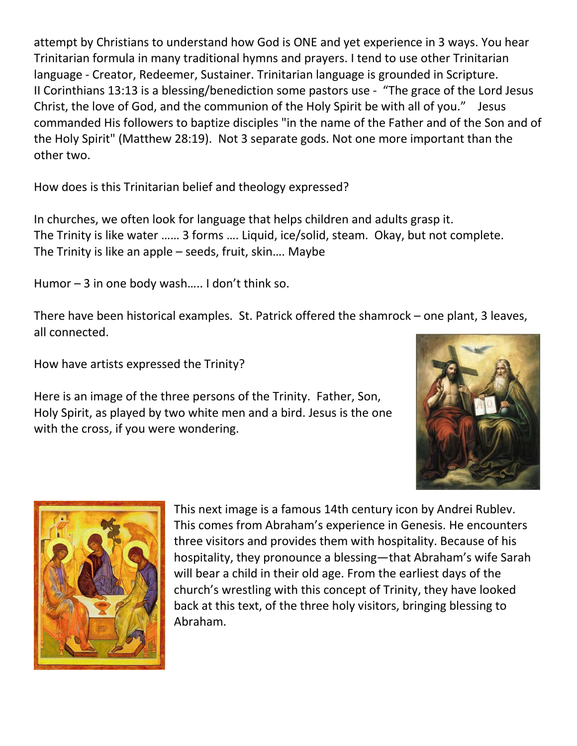attempt by Christians to understand how God is ONE and yet experience in 3 ways. You hear Trinitarian formula in many traditional hymns and prayers. I tend to use other Trinitarian language - Creator, Redeemer, Sustainer. Trinitarian language is grounded in Scripture. II Corinthians 13:13 is a blessing/benediction some pastors use - "The grace of the Lord Jesus Christ, the love of God, and the communion of the Holy Spirit be with all of you." Jesus commanded His followers to baptize disciples "in the name of the Father and of the Son and of the Holy Spirit" (Matthew 28:19). Not 3 separate gods. Not one more important than the other two.

How does is this Trinitarian belief and theology expressed?

In churches, we often look for language that helps children and adults grasp it. The Trinity is like water …… 3 forms …. Liquid, ice/solid, steam. Okay, but not complete. The Trinity is like an apple – seeds, fruit, skin…. Maybe

Humor – 3 in one body wash..... I don't think so.

There have been historical examples. St. Patrick offered the shamrock – one plant, 3 leaves, all connected.

How have artists expressed the Trinity?

Here is an image of the three persons of the Trinity. Father, Son, Holy Spirit, as played by two white men and a bird. Jesus is the one with the cross, if you were wondering.





This next image is a famous 14th century icon by Andrei Rublev. This comes from Abraham's experience in Genesis. He encounters three visitors and provides them with hospitality. Because of his hospitality, they pronounce a blessing—that Abraham's wife Sarah will bear a child in their old age. From the earliest days of the church's wrestling with this concept of Trinity, they have looked back at this text, of the three holy visitors, bringing blessing to Abraham.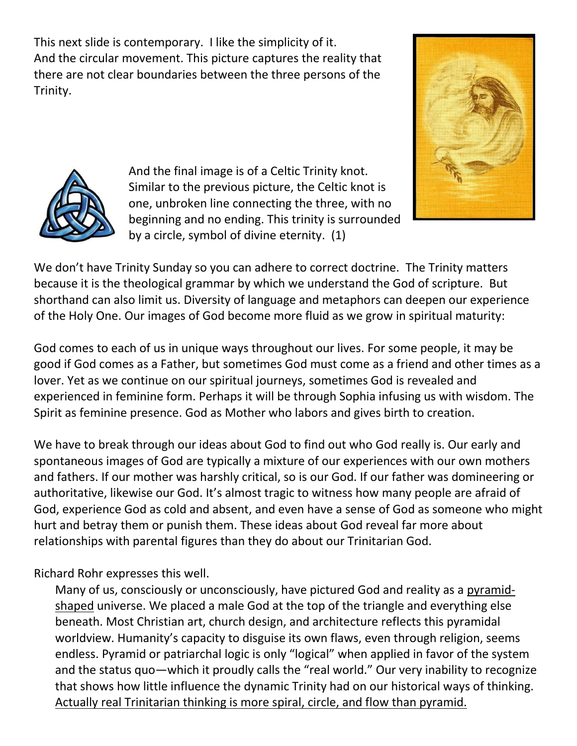This next slide is contemporary. I like the simplicity of it. And the circular movement. This picture captures the reality that there are not clear boundaries between the three persons of the Trinity.





And the final image is of a Celtic Trinity knot. Similar to the previous picture, the Celtic knot is one, unbroken line connecting the three, with no beginning and no ending. This trinity is surrounded by a circle, symbol of divine eternity. (1)

We don't have Trinity Sunday so you can adhere to correct doctrine. The Trinity matters because it is the theological grammar by which we understand the God of scripture. But shorthand can also limit us. Diversity of language and metaphors can deepen our experience of the Holy One. Our images of God become more fluid as we grow in spiritual maturity:

God comes to each of us in unique ways throughout our lives. For some people, it may be good if God comes as a Father, but sometimes God must come as a friend and other times as a lover. Yet as we continue on our spiritual journeys, sometimes God is revealed and experienced in feminine form. Perhaps it will be through Sophia infusing us with wisdom. The Spirit as feminine presence. God as Mother who labors and gives birth to creation.

We have to break through our ideas about God to find out who God really is. Our early and spontaneous images of God are typically a mixture of our experiences with our own mothers and fathers. If our mother was harshly critical, so is our God. If our father was domineering or authoritative, likewise our God. It's almost tragic to witness how many people are afraid of God, experience God as cold and absent, and even have a sense of God as someone who might hurt and betray them or punish them. These ideas about God reveal far more about relationships with parental figures than they do about our Trinitarian God.

Richard Rohr expresses this well.

Many of us, consciously or unconsciously, have pictured God and reality as a pyramidshaped universe. We placed a male God at the top of the triangle and everything else beneath. Most Christian art, church design, and architecture reflects this pyramidal worldview. Humanity's capacity to disguise its own flaws, even through religion, seems endless. Pyramid or patriarchal logic is only "logical" when applied in favor of the system and the status quo—which it proudly calls the "real world." Our very inability to recognize that shows how little influence the dynamic Trinity had on our historical ways of thinking. Actually real Trinitarian thinking is more spiral, circle, and flow than pyramid.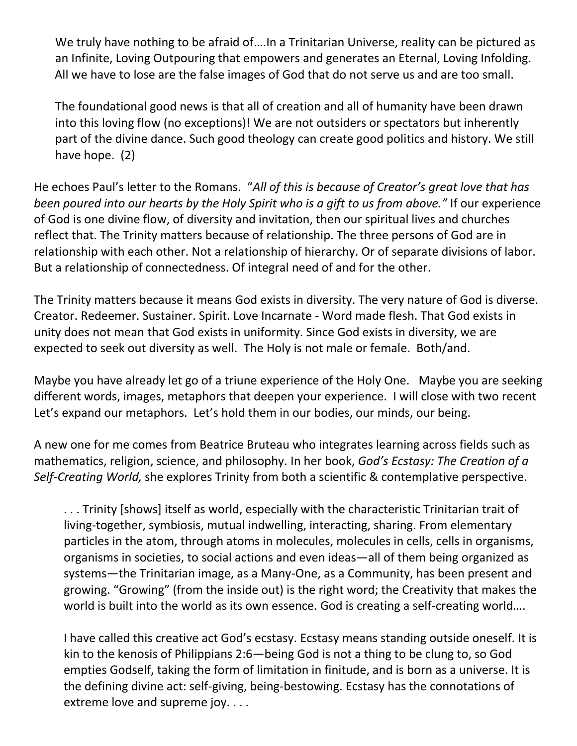We truly have nothing to be afraid of.... In a Trinitarian Universe, reality can be pictured as an Infinite, Loving Outpouring that empowers and generates an Eternal, Loving Infolding. All we have to lose are the false images of God that do not serve us and are too small.

The foundational good news is that all of creation and all of humanity have been drawn into this loving flow (no exceptions)! We are not outsiders or spectators but inherently part of the divine dance. Such good theology can create good politics and history. We still have hope. (2)

He echoes Paul's letter to the Romans. "*All of this is because of Creator's great love that has been poured into our hearts by the Holy Spirit who is a gift to us from above."* If our experience of God is one divine flow, of diversity and invitation, then our spiritual lives and churches reflect that. The Trinity matters because of relationship. The three persons of God are in relationship with each other. Not a relationship of hierarchy. Or of separate divisions of labor. But a relationship of connectedness. Of integral need of and for the other.

The Trinity matters because it means God exists in diversity. The very nature of God is diverse. Creator. Redeemer. Sustainer. Spirit. Love Incarnate - Word made flesh. That God exists in unity does not mean that God exists in uniformity. Since God exists in diversity, we are expected to seek out diversity as well. The Holy is not male or female. Both/and.

Maybe you have already let go of a triune experience of the Holy One. Maybe you are seeking different words, images, metaphors that deepen your experience. I will close with two recent Let's expand our metaphors. Let's hold them in our bodies, our minds, our being.

A new one for me comes from Beatrice Bruteau who integrates learning across fields such as mathematics, religion, science, and philosophy. In her book, *God's Ecstasy: The Creation of a Self-Creating World,* she explores Trinity from both a scientific & contemplative perspective.

. . . Trinity [shows] itself as world, especially with the characteristic Trinitarian trait of living-together, symbiosis, mutual indwelling, interacting, sharing. From elementary particles in the atom, through atoms in molecules, molecules in cells, cells in organisms, organisms in societies, to social actions and even ideas—all of them being organized as systems—the Trinitarian image, as a Many-One, as a Community, has been present and growing. "Growing" (from the inside out) is the right word; the Creativity that makes the world is built into the world as its own essence. God is creating a self-creating world....

I have called this creative act God's ecstasy. Ecstasy means standing outside oneself. It is kin to the kenosis of Philippians 2:6—being God is not a thing to be clung to, so God empties Godself, taking the form of limitation in finitude, and is born as a universe. It is the defining divine act: self-giving, being-bestowing. Ecstasy has the connotations of extreme love and supreme joy. . . .